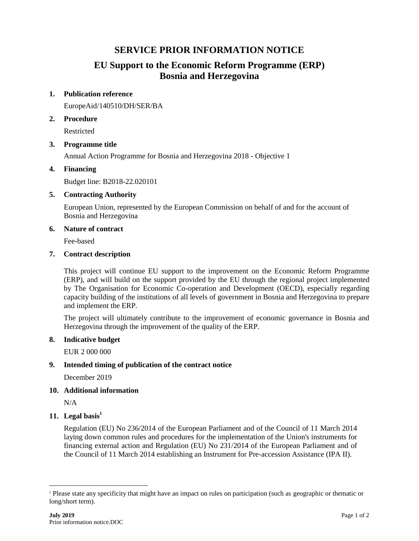## **SERVICE PRIOR INFORMATION NOTICE**

# **EU Support to the Economic Reform Programme (ERP) Bosnia and Herzegovina**

## **1. Publication reference**

EuropeAid/140510/DH/SER/BA

## **2. Procedure**

Restricted

## **3. Programme title**

Annual Action Programme for Bosnia and Herzegovina 2018 - Objective 1

## **4. Financing**

Budget line: B2018-22.020101

## **5. Contracting Authority**

European Union, represented by the European Commission on behalf of and for the account of Bosnia and Herzegovina

#### **6. Nature of contract**

Fee-based

## **7. Contract description**

This project will continue EU support to the improvement on the Economic Reform Programme (ERP), and will build on the support provided by the EU through the regional project implemented by The Organisation for Economic Co-operation and Development (OECD), especially regarding capacity building of the institutions of all levels of government in Bosnia and Herzegovina to prepare and implement the ERP.

The project will ultimately contribute to the improvement of economic governance in Bosnia and Herzegovina through the improvement of the quality of the ERP.

#### **8. Indicative budget**

EUR 2 000 000

## **9. Intended timing of publication of the contract notice**

December 2019

## **10. Additional information**

N/A

 $\overline{a}$ 

## **11. Legal basis<sup>1</sup>**

Regulation (EU) No 236/2014 of the European Parliament and of the Council of 11 March 2014 laying down common rules and procedures for the implementation of the Union's instruments for financing external action and Regulation (EU) No 231/2014 of the European Parliament and of the Council of 11 March 2014 establishing an Instrument for Pre-accession Assistance (IPA II).

<sup>1</sup> Please state any specificity that might have an impact on rules on participation (such as geographic or thematic or long/short term).